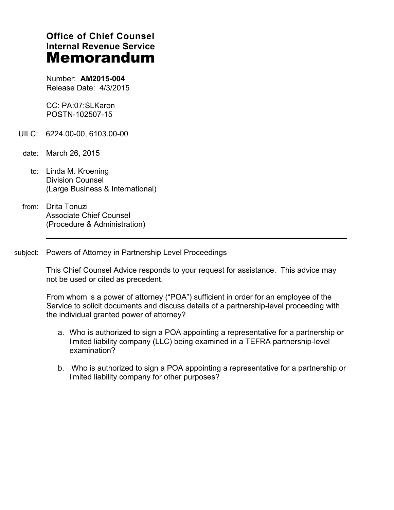# **Office of Chief Counsel Internal Revenue Service Memorandum**

Number: **AM2015-004** Release Date: 4/3/2015

CC: PA:07:SLKaron POSTN-102507-15

- UILC: 6224.00-00, 6103.00-00
- date: March 26, 2015
	- to: Linda M. Kroening Division Counsel (Large Business & International)
- from: Drita Tonuzi Associate Chief Counsel (Procedure & Administration)
- subject: Powers of Attorney in Partnership Level Proceedings

This Chief Counsel Advice responds to your request for assistance. This advice may not be used or cited as precedent.

From whom is a power of attorney ("POA") sufficient in order for an employee of the Service to solicit documents and discuss details of a partnership-level proceeding with the individual granted power of attorney?

- a. Who is authorized to sign a POA appointing a representative for a partnership or limited liability company (LLC) being examined in a TEFRA partnership-level examination?
- b. Who is authorized to sign a POA appointing a representative for a partnership or limited liability company for other purposes?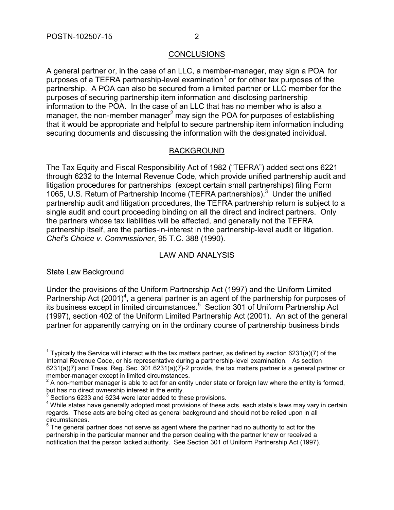## **CONCLUSIONS**

A general partner or, in the case of an LLC, a member-manager, may sign a POA for purposes of a TEFRA partnership-level examination<sup>1</sup> or for other tax purposes of the partnership. A POA can also be secured from a limited partner or LLC member for the purposes of securing partnership item information and disclosing partnership information to the POA. In the case of an LLC that has no member who is also a manager, the non-member manager<sup>2</sup> may sign the POA for purposes of establishing that it would be appropriate and helpful to secure partnership item information including securing documents and discussing the information with the designated individual.

## **BACKGROUND**

The Tax Equity and Fiscal Responsibility Act of 1982 ("TEFRA") added sections 6221 through 6232 to the Internal Revenue Code, which provide unified partnership audit and litigation procedures for partnerships (except certain small partnerships) filing Form 1065, U.S. Return of Partnership Income (TEFRA partnerships).<sup>3</sup> Under the unified partnership audit and litigation procedures, the TEFRA partnership return is subject to a single audit and court proceeding binding on all the direct and indirect partners. Only the partners whose tax liabilities will be affected, and generally not the TEFRA partnership itself, are the parties-in-interest in the partnership-level audit or litigation. *Chef's Choice v. Commissioner*, 95 T.C. 388 (1990).

## LAW AND ANALYSIS

State Law Background

Under the provisions of the Uniform Partnership Act (1997) and the Uniform Limited Partnership Act  $(2001)^4$ , a general partner is an agent of the partnership for purposes of its business except in limited circumstances.<sup>5</sup> Section 301 of Uniform Partnership Act (1997), section 402 of the Uniform Limited Partnership Act (2001). An act of the general partner for apparently carrying on in the ordinary course of partnership business binds

 $\overline{a}$ <sup>1</sup> Typically the Service will interact with the tax matters partner, as defined by section 6231(a)(7) of the Internal Revenue Code, or his representative during a partnership-level examination. As section 6231(a)(7) and Treas. Reg. Sec. 301.6231(a)(7)-2 provide, the tax matters partner is a general partner or member-manager except in limited circumstances.

 $2$  A non-member manager is able to act for an entity under state or foreign law where the entity is formed,

but has no direct ownership interest in the entity. 3 Sections 6233 and 6234 were later added to these provisions.

<sup>&</sup>lt;sup>4</sup> While states have generally adopted most provisions of these acts, each state's laws may vary in certain regards. These acts are being cited as general background and should not be relied upon in all

circumstances.<br><sup>5</sup> The general partner does not serve as agent where the partner had no authority to act for the partnership in the particular manner and the person dealing with the partner knew or received a notification that the person lacked authority. See Section 301 of Uniform Partnership Act (1997).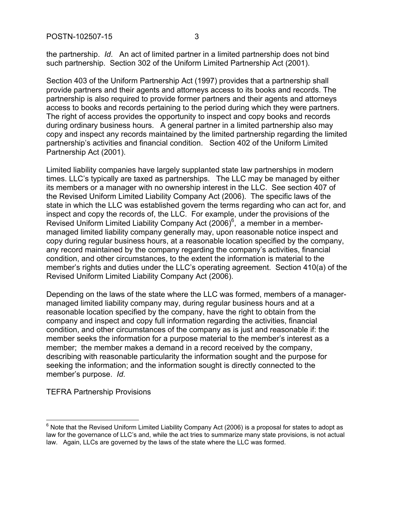the partnership. *Id*. An act of limited partner in a limited partnership does not bind such partnership. Section 302 of the Uniform Limited Partnership Act (2001).

Section 403 of the Uniform Partnership Act (1997) provides that a partnership shall provide partners and their agents and attorneys access to its books and records. The partnership is also required to provide former partners and their agents and attorneys access to books and records pertaining to the period during which they were partners. The right of access provides the opportunity to inspect and copy books and records during ordinary business hours. A general partner in a limited partnership also may copy and inspect any records maintained by the limited partnership regarding the limited partnership's activities and financial condition. Section 402 of the Uniform Limited Partnership Act (2001).

Limited liability companies have largely supplanted state law partnerships in modern times. LLC's typically are taxed as partnerships. The LLC may be managed by either its members or a manager with no ownership interest in the LLC. See section 407 of the Revised Uniform Limited Liability Company Act (2006). The specific laws of the state in which the LLC was established govern the terms regarding who can act for, and inspect and copy the records of, the LLC. For example, under the provisions of the Revised Uniform Limited Liability Company Act (2006)<sup>6</sup>, a member in a membermanaged limited liability company generally may, upon reasonable notice inspect and copy during regular business hours, at a reasonable location specified by the company, any record maintained by the company regarding the company's activities, financial condition, and other circumstances, to the extent the information is material to the member's rights and duties under the LLC's operating agreement. Section 410(a) of the Revised Uniform Limited Liability Company Act (2006).

Depending on the laws of the state where the LLC was formed, members of a managermanaged limited liability company may, during regular business hours and at a reasonable location specified by the company, have the right to obtain from the company and inspect and copy full information regarding the activities, financial condition, and other circumstances of the company as is just and reasonable if: the member seeks the information for a purpose material to the member's interest as a member; the member makes a demand in a record received by the company, describing with reasonable particularity the information sought and the purpose for seeking the information; and the information sought is directly connected to the member's purpose. *Id*.

TEFRA Partnership Provisions

 $\overline{a}$ 

 $6$  Note that the Revised Uniform Limited Liability Company Act (2006) is a proposal for states to adopt as law for the governance of LLC's and, while the act tries to summarize many state provisions, is not actual law. Again, LLCs are governed by the laws of the state where the LLC was formed.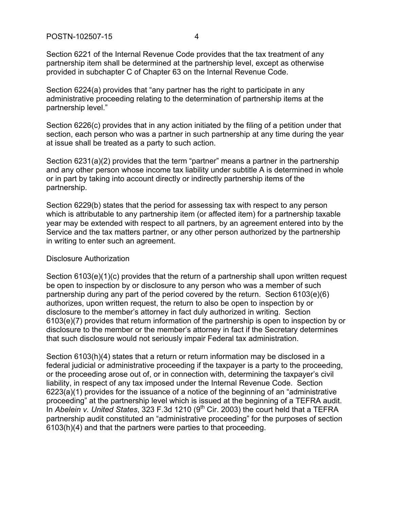Section 6221 of the Internal Revenue Code provides that the tax treatment of any partnership item shall be determined at the partnership level, except as otherwise provided in subchapter C of Chapter 63 on the Internal Revenue Code.

Section 6224(a) provides that "any partner has the right to participate in any administrative proceeding relating to the determination of partnership items at the partnership level."

Section 6226(c) provides that in any action initiated by the filing of a petition under that section, each person who was a partner in such partnership at any time during the year at issue shall be treated as a party to such action.

Section 6231(a)(2) provides that the term "partner" means a partner in the partnership and any other person whose income tax liability under subtitle A is determined in whole or in part by taking into account directly or indirectly partnership items of the partnership.

Section 6229(b) states that the period for assessing tax with respect to any person which is attributable to any partnership item (or affected item) for a partnership taxable year may be extended with respect to all partners, by an agreement entered into by the Service and the tax matters partner, or any other person authorized by the partnership in writing to enter such an agreement.

### Disclosure Authorization

Section 6103(e)(1)(c) provides that the return of a partnership shall upon written request be open to inspection by or disclosure to any person who was a member of such partnership during any part of the period covered by the return. Section 6103(e)(6) authorizes, upon written request, the return to also be open to inspection by or disclosure to the member's attorney in fact duly authorized in writing. Section 6103(e)(7) provides that return information of the partnership is open to inspection by or disclosure to the member or the member's attorney in fact if the Secretary determines that such disclosure would not seriously impair Federal tax administration.

Section 6103(h)(4) states that a return or return information may be disclosed in a federal judicial or administrative proceeding if the taxpayer is a party to the proceeding, or the proceeding arose out of, or in connection with, determining the taxpayer's civil liability, in respect of any tax imposed under the Internal Revenue Code. Section 6223(a)(1) provides for the issuance of a notice of the beginning of an "administrative proceeding" at the partnership level which is issued at the beginning of a TEFRA audit. In *Abelein v. United States*, 323 F.3d 1210 (9<sup>th</sup> Cir. 2003) the court held that a TEFRA partnership audit constituted an "administrative proceeding" for the purposes of section 6103(h)(4) and that the partners were parties to that proceeding.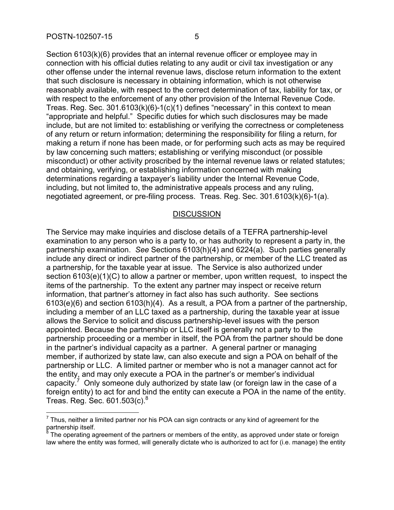Section 6103(k)(6) provides that an internal revenue officer or employee may in connection with his official duties relating to any audit or civil tax investigation or any other offense under the internal revenue laws, disclose return information to the extent that such disclosure is necessary in obtaining information, which is not otherwise reasonably available, with respect to the correct determination of tax, liability for tax, or with respect to the enforcement of any other provision of the Internal Revenue Code. Treas. Reg. Sec. 301.6103(k)(6)-1(c)(1) defines "necessary" in this context to mean "appropriate and helpful." Specific duties for which such disclosures may be made include, but are not limited to: establishing or verifying the correctness or completeness of any return or return information; determining the responsibility for filing a return, for making a return if none has been made, or for performing such acts as may be required by law concerning such matters; establishing or verifying misconduct (or possible misconduct) or other activity proscribed by the internal revenue laws or related statutes; and obtaining, verifying, or establishing information concerned with making determinations regarding a taxpayer's liability under the Internal Revenue Code, including, but not limited to, the administrative appeals process and any ruling,

negotiated agreement, or pre-filing process. Treas. Reg. Sec. 301.6103(k)(6)-1(a).

### **DISCUSSION**

The Service may make inquiries and disclose details of a TEFRA partnership-level examination to any person who is a party to, or has authority to represent a party in, the partnership examination. *See* Sections 6103(h)(4) and 6224(a). Such parties generally include any direct or indirect partner of the partnership, or member of the LLC treated as a partnership, for the taxable year at issue. The Service is also authorized under section 6103(e)(1)(C) to allow a partner or member, upon written request, to inspect the items of the partnership. To the extent any partner may inspect or receive return information, that partner's attorney in fact also has such authority. See sections 6103(e)(6) and section 6103(h)(4). As a result, a POA from a partner of the partnership, including a member of an LLC taxed as a partnership, during the taxable year at issue allows the Service to solicit and discuss partnership-level issues with the person appointed. Because the partnership or LLC itself is generally not a party to the partnership proceeding or a member in itself, the POA from the partner should be done in the partner's individual capacity as a partner. A general partner or managing member, if authorized by state law, can also execute and sign a POA on behalf of the partnership or LLC. A limited partner or member who is not a manager cannot act for the entity, and may only execute a POA in the partner's or member's individual capacity.<sup>7</sup> Only someone duly authorized by state law (or foreign law in the case of a foreign entity) to act for and bind the entity can execute a POA in the name of the entity. Treas. Reg. Sec.  $601.503(c)^8$ 

 $\overline{a}$  $<sup>7</sup>$  Thus, neither a limited partner nor his POA can sign contracts or any kind of agreement for the</sup> partnership itself.<br><sup>8</sup> The enerating as

The operating agreement of the partners or members of the entity, as approved under state or foreign law where the entity was formed, will generally dictate who is authorized to act for (i.e. manage) the entity